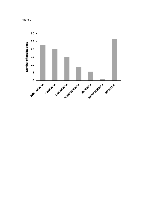Figure 1-

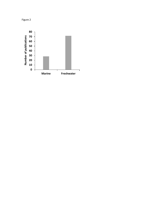

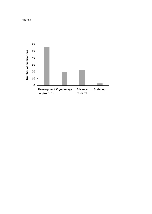Figure 3

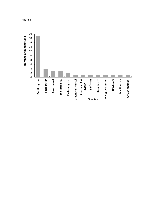

Figure 4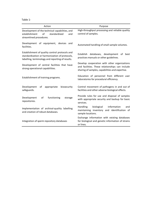Table 1-

| Action                                                                                                                                               | Purpose                                                                                                                                            |  |  |  |
|------------------------------------------------------------------------------------------------------------------------------------------------------|----------------------------------------------------------------------------------------------------------------------------------------------------|--|--|--|
| Development of the technical capabilities, and<br>of<br>standardized<br>establishment<br>and<br>streamlined procedures.                              | High-throughput processing and reliable quality<br>control of samples.                                                                             |  |  |  |
| Development of equipment, devices and<br>facilities.                                                                                                 | Automated handling of small sample volumes.                                                                                                        |  |  |  |
| Establishment of quality control protocols and<br>standardization or harmonization of protocols,<br>labelling, terminology and reporting of results. | databases, development<br>Establish<br>of best<br>practices manuals or other guidelines.                                                           |  |  |  |
| Development of central facilities that have<br>strong operational capabilities.                                                                      | Develop cooperation with other organizations<br>and facilities. These relationships can include<br>sharing of samples, capabilities and expertise. |  |  |  |
| Establishment of training programs.                                                                                                                  | Education of personnel from different user<br>laboratories for procedural efficiency.                                                              |  |  |  |
| Development<br>appropriate<br>biosecurity<br>of<br>safeguards.                                                                                       | Control movement of pathogens in and out of<br>facilities and other adverse biological effects.                                                    |  |  |  |
| of<br>functioning<br>Development<br>storage<br>repositories.                                                                                         | Provide rules for use and disposal of samples<br>with appropriate security and backup for basic<br>services.                                       |  |  |  |
| Implementation of archival-quality labelling<br>and creation of robust databases.                                                                    | <b>Handling</b><br>biological<br>information<br>and<br>maintaining inventory and identification of<br>sample locations.                            |  |  |  |
| Integration of sperm repository databases                                                                                                            | Exchange information with existing databases<br>for biological and genetic information of strains<br>or lines.                                     |  |  |  |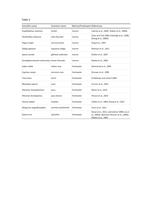| anıe |  |  |
|------|--|--|
|------|--|--|

| Scientific name                               | Marine/Freshwater References<br>Common name |            |                                                                                                                   |  |  |
|-----------------------------------------------|---------------------------------------------|------------|-------------------------------------------------------------------------------------------------------------------|--|--|
| Scophthalmus maximus                          | turbot                                      | marine     | Cabrita et al., 2003; Robles et al., 2003b                                                                        |  |  |
| Paralichthys olivaceus                        | olive flounder                              | marine     | Chen and Tian 2005; Edashige et al., 2006;<br>Zhang et al., 2005b                                                 |  |  |
| Pagrus major                                  | red sea bream                               | marine     | Ding et al., 2007                                                                                                 |  |  |
| Sillago japonica                              | Japanese sillago                            | marine     | Rahman et al., 2011                                                                                               |  |  |
| Sparus aurata                                 | gilthead seabream                           | marine     | Robles et al., 2007                                                                                               |  |  |
| Pseudopleuronectes americanus winter flounder |                                             | marine     | Robles et al., 2005                                                                                               |  |  |
| Labeo rohita                                  | Indian carp                                 | freshwater | Ahammad et al., 2003                                                                                              |  |  |
| Cyprinus carpio                               | common carp                                 | freshwater | Dinnyes et al., 1998                                                                                              |  |  |
| Tinca tinca                                   | tench                                       | freshwater | El-Battawy and Linhart 2009                                                                                       |  |  |
| Rhinelepis aspera                             | acarí                                       | freshwater | Fornari et al., 2014                                                                                              |  |  |
| Piaractus mesopotamicus                       | pacu                                        | freshwater | Neves et al., 2014                                                                                                |  |  |
| Piaractus brachypomus                         | pacu blanco                                 | freshwater | Pessoa et al., 2014                                                                                               |  |  |
| Oryzias latipes                               | medaka                                      | freshwater | Valdez et al., 2005; Zhang et al., 2012                                                                           |  |  |
| Misgurnus anguillicaudatus                    | oriental weatherfish                        | freshwater | Yasui et al., 2011                                                                                                |  |  |
| Danio rerio                                   | zebrafish                                   | freshwater | Desai et al., 2011; Lahnsteiner 2008; Liu et<br>al., 2001b; Martínez-Páramo et al., 2009a;<br>Robles et al., 2004 |  |  |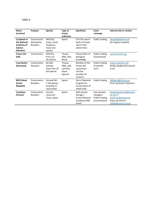## Table 3-

| <b>Name</b><br>(country)                                                 | <b>Purpose</b>                                 | <b>Species</b>                                                    | Type of<br>frozen<br>collection                            | <b>Specificity</b>                                                                 | Costs<br>coverage                                               | Internet site or contact                                                                                    |
|--------------------------------------------------------------------------|------------------------------------------------|-------------------------------------------------------------------|------------------------------------------------------------|------------------------------------------------------------------------------------|-----------------------------------------------------------------|-------------------------------------------------------------------------------------------------------------|
| Cryobank of<br>the National<br>Academy of<br><b>Science</b><br>(Ukraine) | Conservation<br>Restoration<br><b>Breeders</b> | Wild fish:<br>Carps, trouts<br>sturgeons,<br>many rare<br>species | Sperm                                                      | First fish sperm<br>bank in Europe,<br>sperm from<br>extinct lines                 | Public funding                                                  | ekopeik@yahoo.com<br>(Dr Evgeniy Kopeika)                                                                   |
| <b>Frozen Ark</b><br>(UK)                                                | Conservation                                   | Wild fish<br>from 112<br>UK species                               | Tissues,<br>DNA, cells,<br>blood                           | Preservation of<br>biological<br>knowledge                                         | Public funding<br>(Consortium)                                  | ww.frozenark.org                                                                                            |
| Cryo-Brehm<br>(Germany)                                                  | Conservation<br>Research                       | All wild<br>animals,<br>more than 20<br>fish species              | Tissues,<br>DNA, cells,<br>cell lines,<br>blood<br>(sperm) | Member of the<br>Frozen Ark<br>consortium<br>Cell line<br>provider for<br>research | Public funding<br>(Franhofer<br>$Inst.$ )                       | www.cryobrehm.de<br>phillip.ciba@emb.fraunhof<br>er.de                                                      |
| <b>RIFCH Bank</b><br>(Czech<br><b>Republic)</b>                          | Conservation<br><b>Breeders</b>                | Farmed fish:<br>7 FW species,<br>including 11<br>carp breeds      | Sperm                                                      | Part of National<br>Program for<br>Conservation of<br>FAGR (CZR)                   | Public funding                                                  | flajshans@frov.jcu.cz<br>(Prof Ing Martin Flajshans)                                                        |
| CryoAqua<br>(France)                                                     | Conservation<br><b>Breeders</b>                | Farmed<br>resources:<br>Trout, oyster                             | Sperm                                                      | Both private<br>storage /<br><b>French National</b><br>Cryobank (CRB-<br>Anim)     | Fees (private<br>storage) /<br>Public funding<br>(conservation) | laboproduction35@evoluti<br>$on$ -xy.fr /<br>www.cryobanque.org<br>www.crb-anim.fr<br>clabbe@rennes.inra.fr |